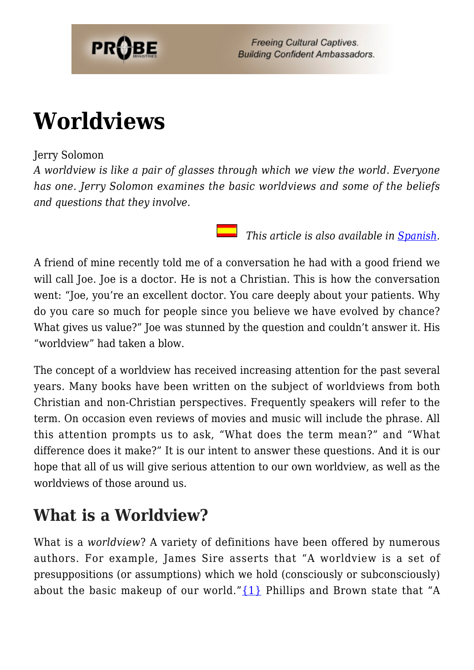

# **[Worldviews](https://probe.org/worldviews/)**

#### Jerry Solomon

*A worldview is like a pair of glasses through which we view the world. Everyone has one. Jerry Solomon examines the basic worldviews and some of the beliefs and questions that they involve.*

 *This article is also available in [Spanish.](https://www.ministeriosprobe.org/docs/cosmovisiones.html)*

A friend of mine recently told me of a conversation he had with a good friend we will call Joe. Joe is a doctor. He is not a Christian. This is how the conversation went: "Joe, you're an excellent doctor. You care deeply about your patients. Why do you care so much for people since you believe we have evolved by chance? What gives us value?" Joe was stunned by the question and couldn't answer it. His "worldview" had taken a blow.

The concept of a worldview has received increasing attention for the past several years. Many books have been written on the subject of worldviews from both Christian and non-Christian perspectives. Frequently speakers will refer to the term. On occasion even reviews of movies and music will include the phrase. All this attention prompts us to ask, "What does the term mean?" and "What difference does it make?" It is our intent to answer these questions. And it is our hope that all of us will give serious attention to our own worldview, as well as the worldviews of those around us.

# **What is a Worldview?**

What is a *worldview*? A variety of definitions have been offered by numerous authors. For example, James Sire asserts that "A worldview is a set of presuppositions (or assumptions) which we hold (consciously or subconsciously) about the basic makeup of our world." $\{1\}$  Phillips and Brown state that "A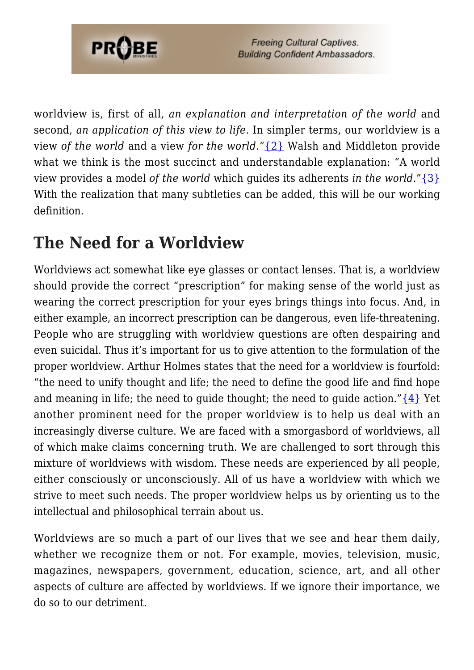

worldview is, first of all, *an explanation and interpretation of the world* and second, *an application of this view to life*. In simpler terms, our worldview is a view *of the world* and a view *for the world*."[{2}](#page-8-1) Walsh and Middleton provide what we think is the most succinct and understandable explanation: "A world view provides a model *of the world* which guides its adherents *in the world*.["{3}](#page-8-2) With the realization that many subtleties can be added, this will be our working definition.

# **The Need for a Worldview**

Worldviews act somewhat like eye glasses or contact lenses. That is, a worldview should provide the correct "prescription" for making sense of the world just as wearing the correct prescription for your eyes brings things into focus. And, in either example, an incorrect prescription can be dangerous, even life-threatening. People who are struggling with worldview questions are often despairing and even suicidal. Thus it's important for us to give attention to the formulation of the proper worldview. Arthur Holmes states that the need for a worldview is fourfold: "the need to unify thought and life; the need to define the good life and find hope and meaning in life; the need to guide thought; the need to guide action." $\{4\}$  Yet another prominent need for the proper worldview is to help us deal with an increasingly diverse culture. We are faced with a smorgasbord of worldviews, all of which make claims concerning truth. We are challenged to sort through this mixture of worldviews with wisdom. These needs are experienced by all people, either consciously or unconsciously. All of us have a worldview with which we strive to meet such needs. The proper worldview helps us by orienting us to the intellectual and philosophical terrain about us.

Worldviews are so much a part of our lives that we see and hear them daily, whether we recognize them or not. For example, movies, television, music, magazines, newspapers, government, education, science, art, and all other aspects of culture are affected by worldviews. If we ignore their importance, we do so to our detriment.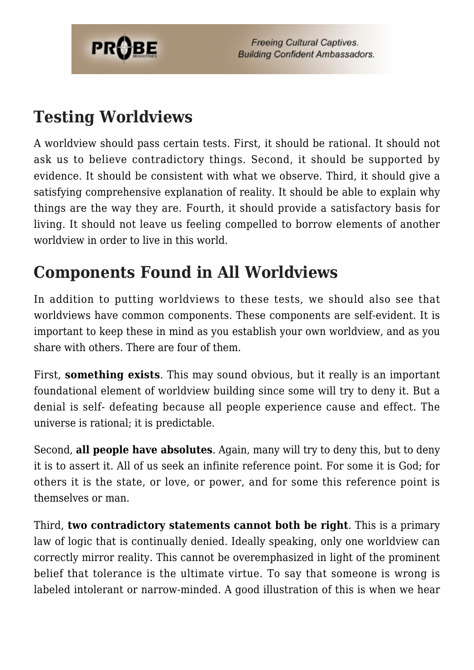

# **Testing Worldviews**

A worldview should pass certain tests. First, it should be rational. It should not ask us to believe contradictory things. Second, it should be supported by evidence. It should be consistent with what we observe. Third, it should give a satisfying comprehensive explanation of reality. It should be able to explain why things are the way they are. Fourth, it should provide a satisfactory basis for living. It should not leave us feeling compelled to borrow elements of another worldview in order to live in this world.

# **Components Found in All Worldviews**

In addition to putting worldviews to these tests, we should also see that worldviews have common components. These components are self-evident. It is important to keep these in mind as you establish your own worldview, and as you share with others. There are four of them.

First, **something exists**. This may sound obvious, but it really is an important foundational element of worldview building since some will try to deny it. But a denial is self- defeating because all people experience cause and effect. The universe is rational; it is predictable.

Second, **all people have absolutes**. Again, many will try to deny this, but to deny it is to assert it. All of us seek an infinite reference point. For some it is God; for others it is the state, or love, or power, and for some this reference point is themselves or man.

Third, **two contradictory statements cannot both be right**. This is a primary law of logic that is continually denied. Ideally speaking, only one worldview can correctly mirror reality. This cannot be overemphasized in light of the prominent belief that tolerance is the ultimate virtue. To say that someone is wrong is labeled intolerant or narrow-minded. A good illustration of this is when we hear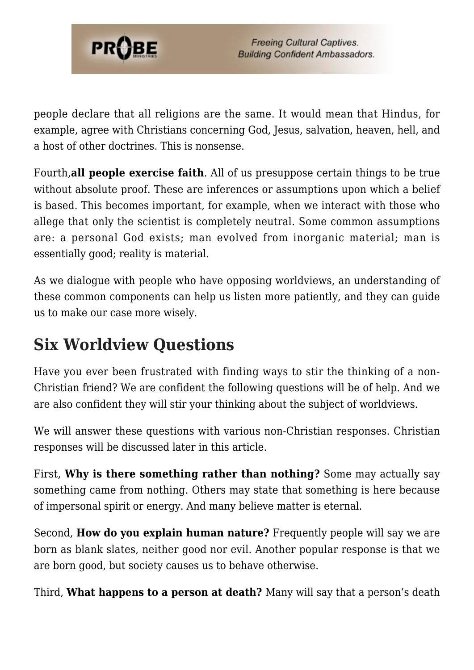

people declare that all religions are the same. It would mean that Hindus, for example, agree with Christians concerning God, Jesus, salvation, heaven, hell, and a host of other doctrines. This is nonsense.

Fourth,**all people exercise faith**. All of us presuppose certain things to be true without absolute proof. These are inferences or assumptions upon which a belief is based. This becomes important, for example, when we interact with those who allege that only the scientist is completely neutral. Some common assumptions are: a personal God exists; man evolved from inorganic material; man is essentially good; reality is material.

As we dialogue with people who have opposing worldviews, an understanding of these common components can help us listen more patiently, and they can guide us to make our case more wisely.

# **Six Worldview Questions**

Have you ever been frustrated with finding ways to stir the thinking of a non-Christian friend? We are confident the following questions will be of help. And we are also confident they will stir your thinking about the subject of worldviews.

We will answer these questions with various non-Christian responses. Christian responses will be discussed later in this article.

First, **Why is there something rather than nothing?** Some may actually say something came from nothing. Others may state that something is here because of impersonal spirit or energy. And many believe matter is eternal.

Second, **How do you explain human nature?** Frequently people will say we are born as blank slates, neither good nor evil. Another popular response is that we are born good, but society causes us to behave otherwise.

Third, **What happens to a person at death?** Many will say that a person's death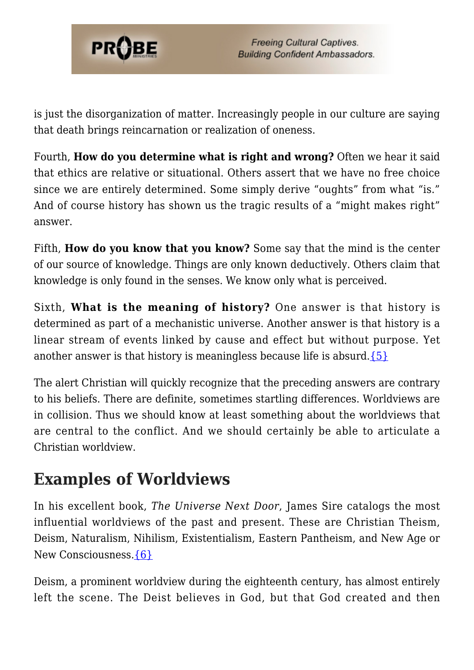

is just the disorganization of matter. Increasingly people in our culture are saying that death brings reincarnation or realization of oneness.

Fourth, **How do you determine what is right and wrong?** Often we hear it said that ethics are relative or situational. Others assert that we have no free choice since we are entirely determined. Some simply derive "oughts" from what "is." And of course history has shown us the tragic results of a "might makes right" answer.

Fifth, **How do you know that you know?** Some say that the mind is the center of our source of knowledge. Things are only known deductively. Others claim that knowledge is only found in the senses. We know only what is perceived.

Sixth, **What is the meaning of history?** One answer is that history is determined as part of a mechanistic universe. Another answer is that history is a linear stream of events linked by cause and effect but without purpose. Yet another answer is that history is meaningless because life is absurd. ${5}$ 

The alert Christian will quickly recognize that the preceding answers are contrary to his beliefs. There are definite, sometimes startling differences. Worldviews are in collision. Thus we should know at least something about the worldviews that are central to the conflict. And we should certainly be able to articulate a Christian worldview.

### **Examples of Worldviews**

In his excellent book, *The Universe Next Door*, James Sire catalogs the most influential worldviews of the past and present. These are Christian Theism, Deism, Naturalism, Nihilism, Existentialism, Eastern Pantheism, and New Age or New Consciousness.[{6}](#page-9-0)

Deism, a prominent worldview during the eighteenth century, has almost entirely left the scene. The Deist believes in God, but that God created and then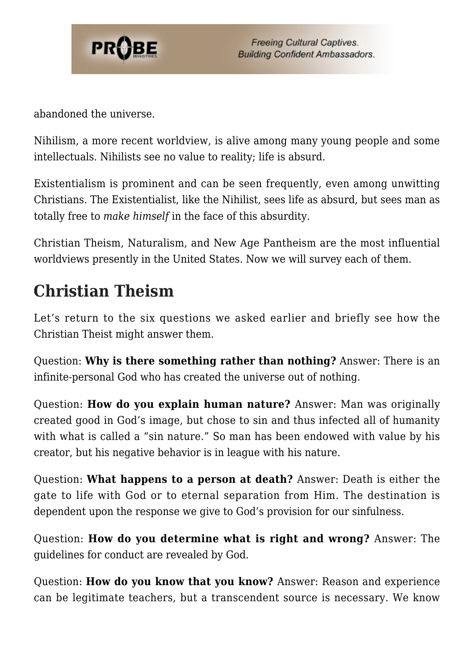

abandoned the universe.

Nihilism, a more recent worldview, is alive among many young people and some intellectuals. Nihilists see no value to reality; life is absurd.

Existentialism is prominent and can be seen frequently, even among unwitting Christians. The Existentialist, like the Nihilist, sees life as absurd, but sees man as totally free to *make himself* in the face of this absurdity.

Christian Theism, Naturalism, and New Age Pantheism are the most influential worldviews presently in the United States. Now we will survey each of them.

### **Christian Theism**

Let's return to the six questions we asked earlier and briefly see how the Christian Theist might answer them.

Question: **Why is there something rather than nothing?** Answer: There is an infinite-personal God who has created the universe out of nothing.

Question: **How do you explain human nature?** Answer: Man was originally created good in God's image, but chose to sin and thus infected all of humanity with what is called a "sin nature." So man has been endowed with value by his creator, but his negative behavior is in league with his nature.

Question: **What happens to a person at death?** Answer: Death is either the gate to life with God or to eternal separation from Him. The destination is dependent upon the response we give to God's provision for our sinfulness.

Question: **How do you determine what is right and wrong?** Answer: The guidelines for conduct are revealed by God.

Question: **How do you know that you know?** Answer: Reason and experience can be legitimate teachers, but a transcendent source is necessary. We know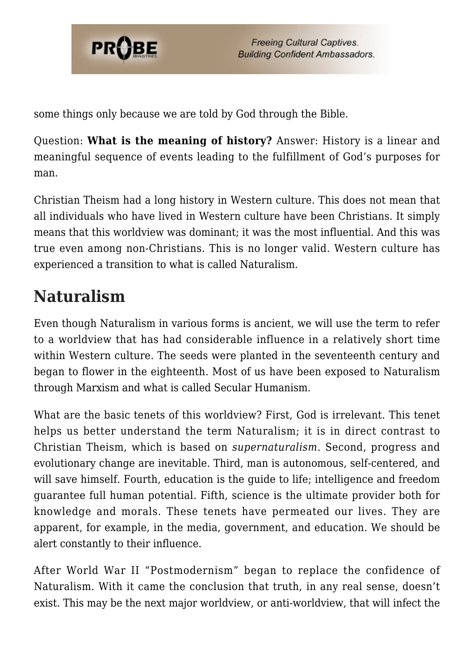

some things only because we are told by God through the Bible.

Question: **What is the meaning of history?** Answer: History is a linear and meaningful sequence of events leading to the fulfillment of God's purposes for man.

Christian Theism had a long history in Western culture. This does not mean that all individuals who have lived in Western culture have been Christians. It simply means that this worldview was dominant; it was the most influential. And this was true even among non-Christians. This is no longer valid. Western culture has experienced a transition to what is called Naturalism.

### **Naturalism**

Even though Naturalism in various forms is ancient, we will use the term to refer to a worldview that has had considerable influence in a relatively short time within Western culture. The seeds were planted in the seventeenth century and began to flower in the eighteenth. Most of us have been exposed to Naturalism through Marxism and what is called Secular Humanism.

What are the basic tenets of this worldview? First, God is irrelevant. This tenet helps us better understand the term Naturalism; it is in direct contrast to Christian Theism, which is based on *supernaturalism*. Second, progress and evolutionary change are inevitable. Third, man is autonomous, self-centered, and will save himself. Fourth, education is the guide to life; intelligence and freedom guarantee full human potential. Fifth, science is the ultimate provider both for knowledge and morals. These tenets have permeated our lives. They are apparent, for example, in the media, government, and education. We should be alert constantly to their influence.

After World War II "Postmodernism" began to replace the confidence of Naturalism. With it came the conclusion that truth, in any real sense, doesn't exist. This may be the next major worldview, or anti-worldview, that will infect the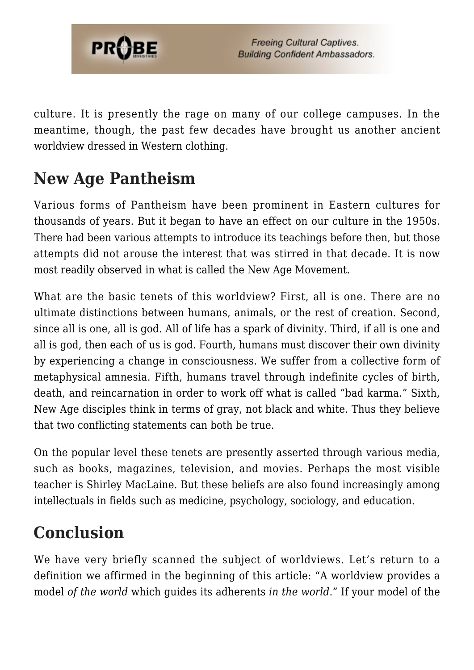

culture. It is presently the rage on many of our college campuses. In the meantime, though, the past few decades have brought us another ancient worldview dressed in Western clothing.

# **New Age Pantheism**

Various forms of Pantheism have been prominent in Eastern cultures for thousands of years. But it began to have an effect on our culture in the 1950s. There had been various attempts to introduce its teachings before then, but those attempts did not arouse the interest that was stirred in that decade. It is now most readily observed in what is called the New Age Movement.

What are the basic tenets of this worldview? First, all is one. There are no ultimate distinctions between humans, animals, or the rest of creation. Second, since all is one, all is god. All of life has a spark of divinity. Third, if all is one and all is god, then each of us is god. Fourth, humans must discover their own divinity by experiencing a change in consciousness. We suffer from a collective form of metaphysical amnesia. Fifth, humans travel through indefinite cycles of birth, death, and reincarnation in order to work off what is called "bad karma." Sixth, New Age disciples think in terms of gray, not black and white. Thus they believe that two conflicting statements can both be true.

On the popular level these tenets are presently asserted through various media, such as books, magazines, television, and movies. Perhaps the most visible teacher is Shirley MacLaine. But these beliefs are also found increasingly among intellectuals in fields such as medicine, psychology, sociology, and education.

# **Conclusion**

We have very briefly scanned the subject of worldviews. Let's return to a definition we affirmed in the beginning of this article: "A worldview provides a model *of the world* which guides its adherents *in the world*." If your model of the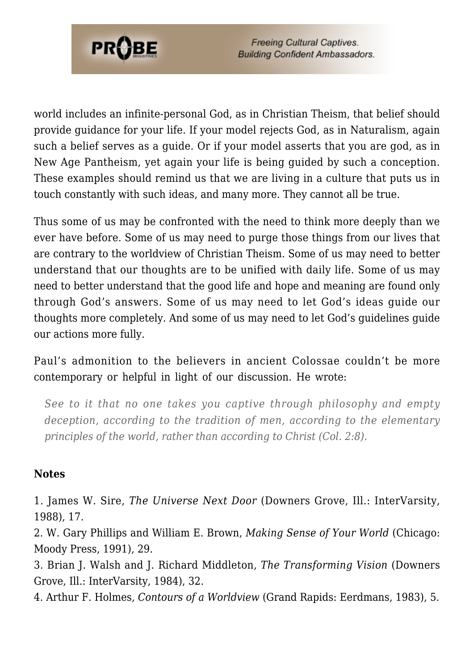

world includes an infinite-personal God, as in Christian Theism, that belief should provide guidance for your life. If your model rejects God, as in Naturalism, again such a belief serves as a guide. Or if your model asserts that you are god, as in New Age Pantheism, yet again your life is being guided by such a conception. These examples should remind us that we are living in a culture that puts us in touch constantly with such ideas, and many more. They cannot all be true.

Thus some of us may be confronted with the need to think more deeply than we ever have before. Some of us may need to purge those things from our lives that are contrary to the worldview of Christian Theism. Some of us may need to better understand that our thoughts are to be unified with daily life. Some of us may need to better understand that the good life and hope and meaning are found only through God's answers. Some of us may need to let God's ideas guide our thoughts more completely. And some of us may need to let God's guidelines guide our actions more fully.

Paul's admonition to the believers in ancient Colossae couldn't be more contemporary or helpful in light of our discussion. He wrote:

*See to it that no one takes you captive through philosophy and empty deception, according to the tradition of men, according to the elementary principles of the world, rather than according to Christ (Col. 2:8).*

#### **Notes**

<span id="page-8-0"></span>1. James W. Sire, *The Universe Next Door* (Downers Grove, Ill.: InterVarsity, 1988), 17.

<span id="page-8-1"></span>2. W. Gary Phillips and William E. Brown, *Making Sense of Your World* (Chicago: Moody Press, 1991), 29.

<span id="page-8-2"></span>3. Brian J. Walsh and J. Richard Middleton, *The Transforming Vision* (Downers Grove, Ill.: InterVarsity, 1984), 32.

<span id="page-8-4"></span><span id="page-8-3"></span>4. Arthur F. Holmes, *Contours of a Worldview* (Grand Rapids: Eerdmans, 1983), 5.